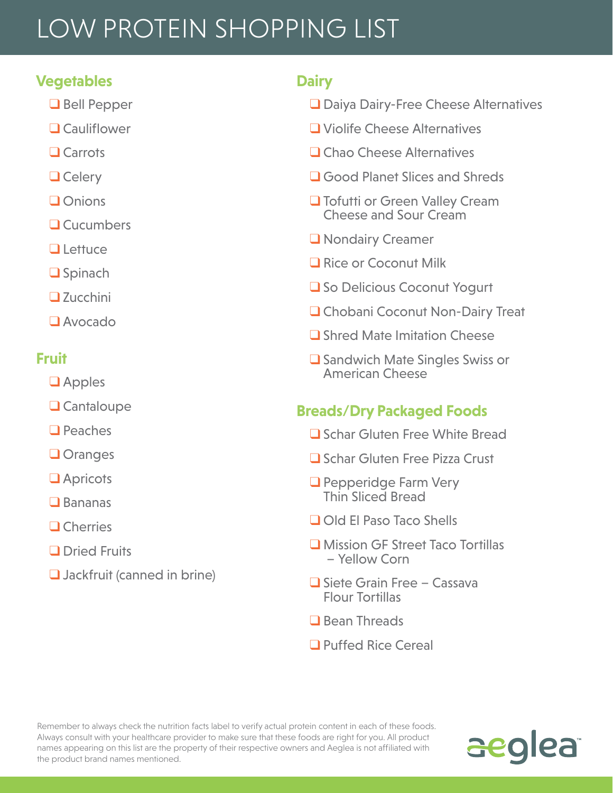# LOW PROTEIN SHOPPING LIST

### **Vegetables**

- ❑ Bell Pepper
- ❑ Cauliflower
- ❑ Carrots
- ❑ Celery
- ❑ Onions
- ❑ Cucumbers
- ❑ Lettuce
- ❑ Spinach
- ❑ Zucchini
- ❑ Avocado

### **Fruit**

- ❑ Apples
- ❑ Cantaloupe
- ❑ Peaches
- ❑ Oranges
- ❑ Apricots
- ❑ Bananas
- ❑ Cherries
- ❑ Dried Fruits
- ❑ Jackfruit (canned in brine)

### **Dairy**

- ❑ Daiya Dairy-Free Cheese Alternatives
- ❑ Violife Cheese Alternatives
- ❑ Chao Cheese Alternatives
- ❑ Good Planet Slices and Shreds
- ❑ Tofutti or Green Valley Cream Cheese and Sour Cream
- ❑ Nondairy Creamer
- Rice or Coconut Milk
- So Delicious Coconut Yogurt
- ❑ Chobani Coconut Non-Dairy Treat
- ❑ Shred Mate Imitation Cheese
- ❑ Sandwich Mate Singles Swiss or American Cheese

### **Breads/Dry Packaged Foods**

- ❑ Schar Gluten Free White Bread
- ❑ Schar Gluten Free Pizza Crust
- ❑ Pepperidge Farm Very Thin Sliced Bread
- ❑ Old El Paso Taco Shells
- ❑ Mission GF Street Taco Tortillas – Yellow Corn
- ❑ Siete Grain Free Cassava Flour Tortillas
- Bean Threads
- ❑ Puffed Rice Cereal

Remember to always check the nutrition facts label to verify actual protein content in each of these foods. Always consult with your healthcare provider to make sure that these foods are right for you. All product names appearing on this list are the property of their respective owners and Aeglea is not affiliated with the product brand names mentioned.

# aeglea<sup>®</sup>